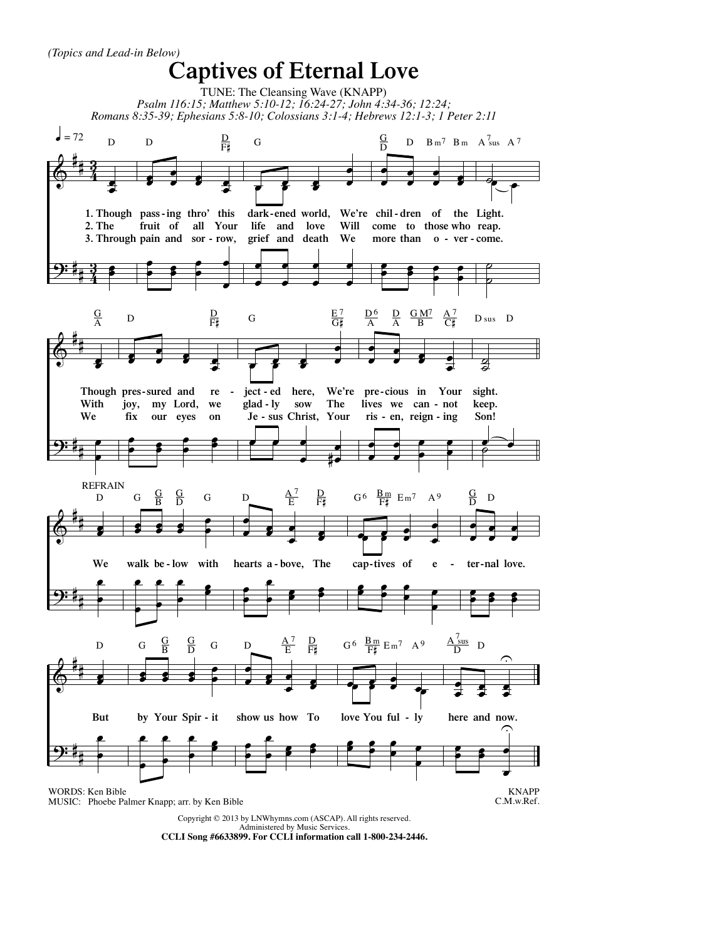

**CCLI Song #6633899. For CCLI information call 1-800-234-2446.**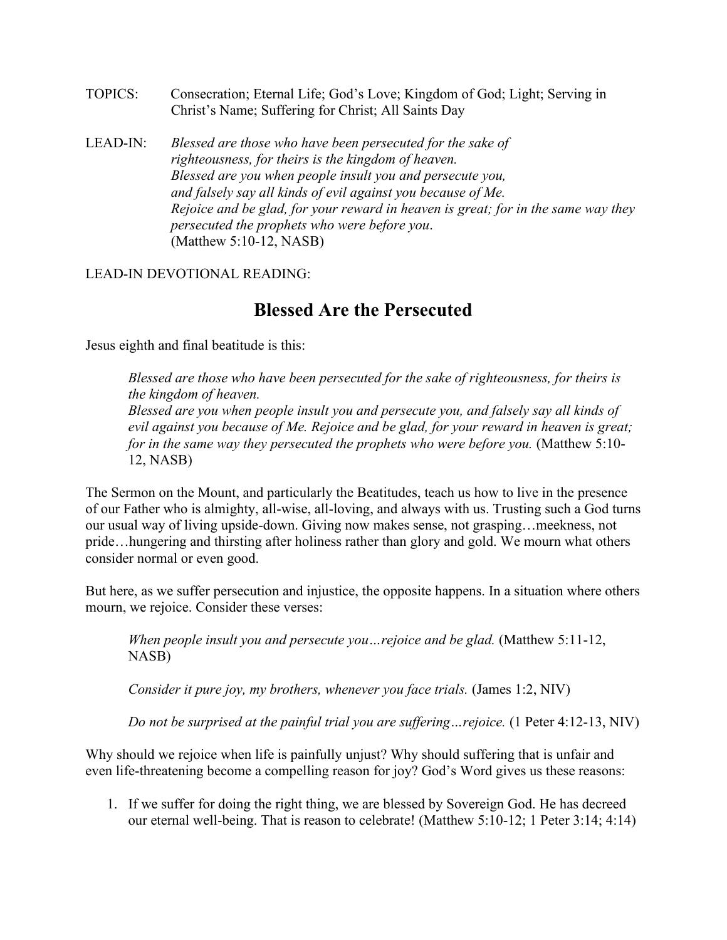- TOPICS: Consecration; Eternal Life; God's Love; Kingdom of God; Light; Serving in Christ's Name; Suffering for Christ; All Saints Day
- LEAD-IN: *Blessed are those who have been persecuted for the sake of righteousness, for theirs is the kingdom of heaven. Blessed are you when people insult you and persecute you, and falsely say all kinds of evil against you because of Me. Rejoice and be glad, for your reward in heaven is great; for in the same way they persecuted the prophets who were before you*. (Matthew 5:10-12, NASB)

LEAD-IN DEVOTIONAL READING:

## **Blessed Are the Persecuted**

Jesus eighth and final beatitude is this:

*Blessed are those who have been persecuted for the sake of righteousness, for theirs is the kingdom of heaven.*

*Blessed are you when people insult you and persecute you, and falsely say all kinds of evil against you because of Me. Rejoice and be glad, for your reward in heaven is great; for in the same way they persecuted the prophets who were before you.* (Matthew 5:10-12, NASB)

The Sermon on the Mount, and particularly the Beatitudes, teach us how to live in the presence of our Father who is almighty, all-wise, all-loving, and always with us. Trusting such a God turns our usual way of living upside-down. Giving now makes sense, not grasping…meekness, not pride…hungering and thirsting after holiness rather than glory and gold. We mourn what others consider normal or even good.

But here, as we suffer persecution and injustice, the opposite happens. In a situation where others mourn, we rejoice. Consider these verses:

*When people insult you and persecute you…rejoice and be glad.* (Matthew 5:11-12, NASB)

*Consider it pure joy, my brothers, whenever you face trials.* (James 1:2, NIV)

*Do not be surprised at the painful trial you are suffering…rejoice.* (1 Peter 4:12-13, NIV)

Why should we rejoice when life is painfully unjust? Why should suffering that is unfair and even life-threatening become a compelling reason for joy? God's Word gives us these reasons:

1. If we suffer for doing the right thing, we are blessed by Sovereign God. He has decreed our eternal well-being. That is reason to celebrate! (Matthew 5:10-12; 1 Peter 3:14; 4:14)